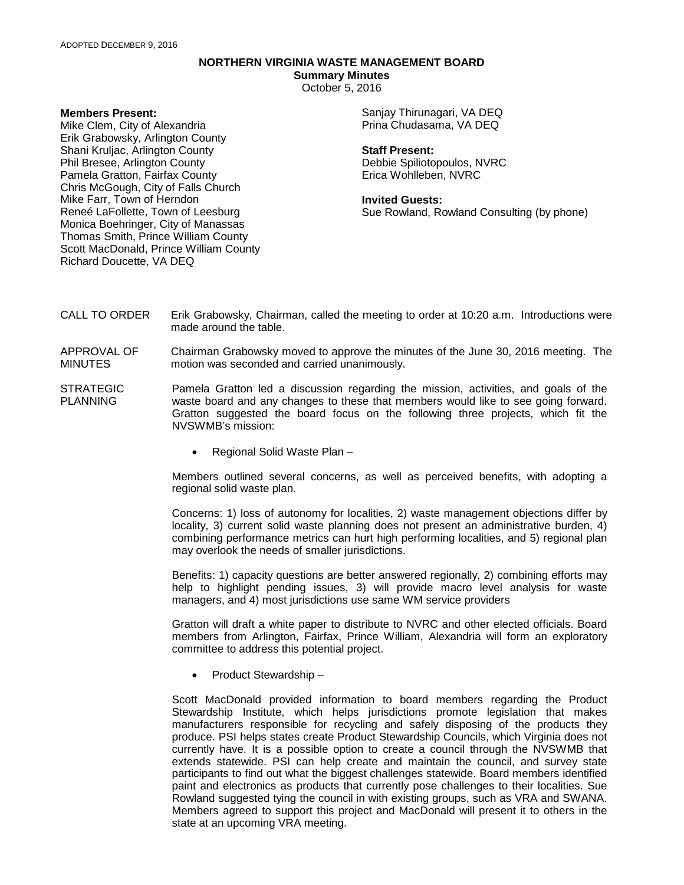# **NORTHERN VIRGINIA WASTE MANAGEMENT BOARD**

**Summary Minutes**

October 5, 2016

### **Members Present:**

Mike Clem, City of Alexandria Erik Grabowsky, Arlington County Shani Kruljac, Arlington County Phil Bresee, Arlington County Pamela Gratton, Fairfax County Chris McGough, City of Falls Church Mike Farr, Town of Herndon Reneé LaFollette, Town of Leesburg Monica Boehringer, City of Manassas Thomas Smith, Prince William County Scott MacDonald, Prince William County Richard Doucette, VA DEQ

Sanjay Thirunagari, VA DEQ Prina Chudasama, VA DEQ

#### **Staff Present:**

Debbie Spiliotopoulos, NVRC Erica Wohlleben, NVRC

#### **Invited Guests:**

Sue Rowland, Rowland Consulting (by phone)

- CALL TO ORDER Erik Grabowsky, Chairman, called the meeting to order at 10:20 a.m. Introductions were made around the table.
- APPROVAL OF MINUTES Chairman Grabowsky moved to approve the minutes of the June 30, 2016 meeting. The motion was seconded and carried unanimously.
- STRATEGIC PLANNING Pamela Gratton led a discussion regarding the mission, activities, and goals of the waste board and any changes to these that members would like to see going forward. Gratton suggested the board focus on the following three projects, which fit the NVSWMB's mission:
	- Regional Solid Waste Plan –

Members outlined several concerns, as well as perceived benefits, with adopting a regional solid waste plan.

Concerns: 1) loss of autonomy for localities, 2) waste management objections differ by locality, 3) current solid waste planning does not present an administrative burden, 4) combining performance metrics can hurt high performing localities, and 5) regional plan may overlook the needs of smaller jurisdictions.

Benefits: 1) capacity questions are better answered regionally, 2) combining efforts may help to highlight pending issues, 3) will provide macro level analysis for waste managers, and 4) most jurisdictions use same WM service providers

Gratton will draft a white paper to distribute to NVRC and other elected officials. Board members from Arlington, Fairfax, Prince William, Alexandria will form an exploratory committee to address this potential project.

• Product Stewardship –

Scott MacDonald provided information to board members regarding the Product Stewardship Institute, which helps jurisdictions promote legislation that makes manufacturers responsible for recycling and safely disposing of the products they produce. PSI helps states create Product Stewardship Councils, which Virginia does not currently have. It is a possible option to create a council through the NVSWMB that extends statewide. PSI can help create and maintain the council, and survey state participants to find out what the biggest challenges statewide. Board members identified paint and electronics as products that currently pose challenges to their localities. Sue Rowland suggested tying the council in with existing groups, such as VRA and SWANA. Members agreed to support this project and MacDonald will present it to others in the state at an upcoming VRA meeting.